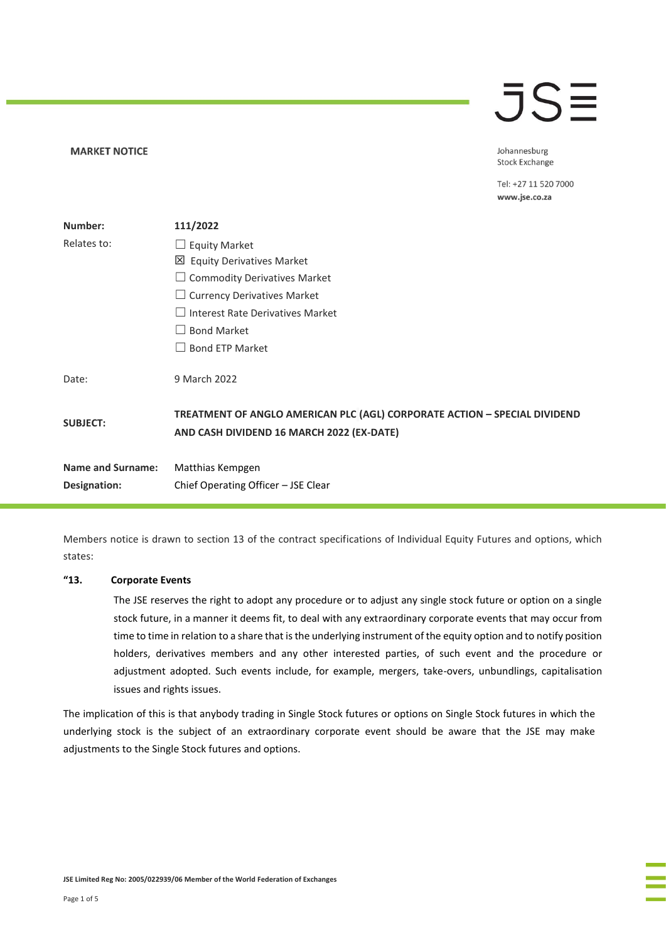# $\overline{\mathsf{J}}\mathsf{S}\mathsf{\Xi}$

Johannesburg **Stock Exchange** 

Tel: +27 11 520 7000 www.jse.co.za

| Number:                  | 111/2022                                                                                                               |
|--------------------------|------------------------------------------------------------------------------------------------------------------------|
| Relates to:              | $\Box$ Equity Market                                                                                                   |
|                          | 凶 Equity Derivatives Market                                                                                            |
|                          | $\Box$ Commodity Derivatives Market                                                                                    |
|                          | $\Box$ Currency Derivatives Market                                                                                     |
|                          | $\Box$ Interest Rate Derivatives Market                                                                                |
|                          | $\Box$ Bond Market                                                                                                     |
|                          | $\Box$ Bond ETP Market                                                                                                 |
| Date:                    | 9 March 2022                                                                                                           |
| <b>SUBJECT:</b>          | TREATMENT OF ANGLO AMERICAN PLC (AGL) CORPORATE ACTION - SPECIAL DIVIDEND<br>AND CASH DIVIDEND 16 MARCH 2022 (EX-DATE) |
| <b>Name and Surname:</b> | Matthias Kempgen                                                                                                       |
| Designation:             | Chief Operating Officer - JSE Clear                                                                                    |

Members notice is drawn to section 13 of the contract specifications of Individual Equity Futures and options, which states:

#### **"13. Corporate Events**

**MARKET NOTICE** 

The JSE reserves the right to adopt any procedure or to adjust any single stock future or option on a single stock future, in a manner it deems fit, to deal with any extraordinary corporate events that may occur from time to time in relation to a share that is the underlying instrument of the equity option and to notify position holders, derivatives members and any other interested parties, of such event and the procedure or adjustment adopted. Such events include, for example, mergers, take-overs, unbundlings, capitalisation issues and rights issues.

The implication of this is that anybody trading in Single Stock futures or options on Single Stock futures in which the underlying stock is the subject of an extraordinary corporate event should be aware that the JSE may make adjustments to the Single Stock futures and options.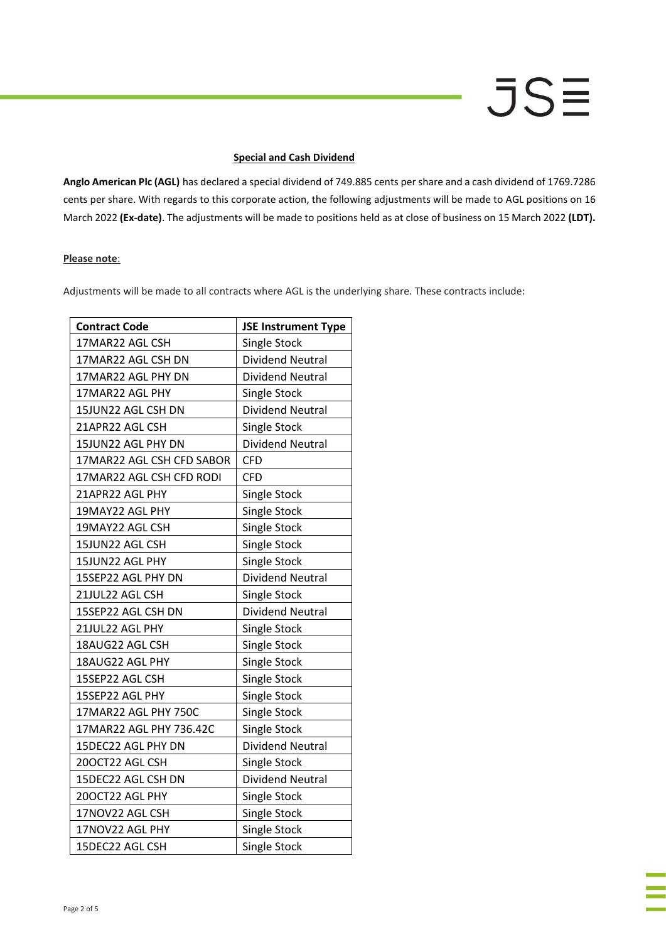# JSΞ

### **Special and Cash Dividend**

**Anglo American Plc (AGL)** has declared a special dividend of 749.885 cents per share and a cash dividend of 1769.7286 cents per share. With regards to this corporate action, the following adjustments will be made to AGL positions on 16 March 2022 **(Ex-date)**. The adjustments will be made to positions held as at close of business on 15 March 2022 **(LDT).**

### **Please note**:

Adjustments will be made to all contracts where AGL is the underlying share. These contracts include:

| <b>Contract Code</b>      | <b>JSE Instrument Type</b> |
|---------------------------|----------------------------|
| 17MAR22 AGL CSH           | Single Stock               |
| 17MAR22 AGL CSH DN        | <b>Dividend Neutral</b>    |
| 17MAR22 AGL PHY DN        | <b>Dividend Neutral</b>    |
| 17MAR22 AGL PHY           | Single Stock               |
| 15JUN22 AGL CSH DN        | <b>Dividend Neutral</b>    |
| 21APR22 AGL CSH           | Single Stock               |
| 15JUN22 AGL PHY DN        | <b>Dividend Neutral</b>    |
| 17MAR22 AGL CSH CFD SABOR | <b>CFD</b>                 |
| 17MAR22 AGL CSH CFD RODI  | <b>CFD</b>                 |
| 21APR22 AGL PHY           | Single Stock               |
| 19MAY22 AGL PHY           | Single Stock               |
| 19MAY22 AGL CSH           | <b>Single Stock</b>        |
| 15JUN22 AGL CSH           | <b>Single Stock</b>        |
| 15JUN22 AGL PHY           | Single Stock               |
| 15SEP22 AGL PHY DN        | <b>Dividend Neutral</b>    |
| 21JUL22 AGL CSH           | Single Stock               |
| 15SEP22 AGL CSH DN        | <b>Dividend Neutral</b>    |
| 21JUL22 AGL PHY           | Single Stock               |
| 18AUG22 AGL CSH           | Single Stock               |
| 18AUG22 AGL PHY           | Single Stock               |
| 15SEP22 AGL CSH           | Single Stock               |
| 15SEP22 AGL PHY           | <b>Single Stock</b>        |
| 17MAR22 AGL PHY 750C      | <b>Single Stock</b>        |
| 17MAR22 AGL PHY 736.42C   | Single Stock               |
| 15DEC22 AGL PHY DN        | <b>Dividend Neutral</b>    |
| 20OCT22 AGL CSH           | Single Stock               |
| 15DEC22 AGL CSH DN        | <b>Dividend Neutral</b>    |
| 20OCT22 AGL PHY           | Single Stock               |
| 17NOV22 AGL CSH           | Single Stock               |
| 17NOV22 AGL PHY           | Single Stock               |
| 15DEC22 AGL CSH           | Single Stock               |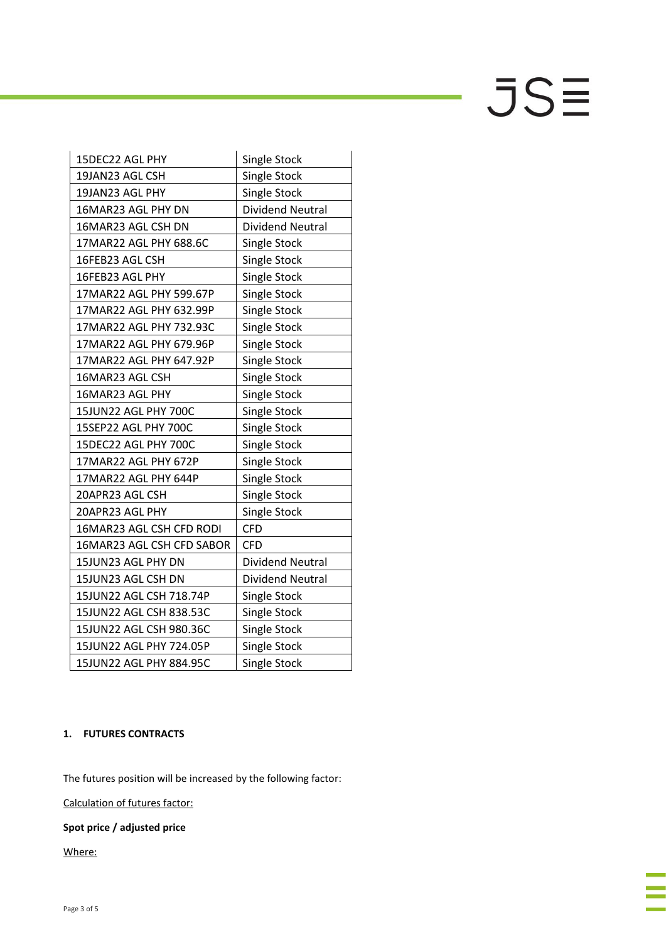$JS\equiv$ 

| 15DEC22 AGL PHY           | <b>Single Stock</b>     |
|---------------------------|-------------------------|
| 19JAN23 AGL CSH           | <b>Single Stock</b>     |
| 19JAN23 AGL PHY           | <b>Single Stock</b>     |
| 16MAR23 AGL PHY DN        | Dividend Neutral        |
| 16MAR23 AGL CSH DN        | <b>Dividend Neutral</b> |
| 17MAR22 AGL PHY 688.6C    | <b>Single Stock</b>     |
| 16FEB23 AGL CSH           | Single Stock            |
| 16FEB23 AGL PHY           | Single Stock            |
| 17MAR22 AGL PHY 599.67P   | <b>Single Stock</b>     |
| 17MAR22 AGL PHY 632.99P   | Single Stock            |
| 17MAR22 AGL PHY 732.93C   | Single Stock            |
| 17MAR22 AGL PHY 679.96P   | Single Stock            |
| 17MAR22 AGL PHY 647.92P   | Single Stock            |
| 16MAR23 AGL CSH           | <b>Single Stock</b>     |
| 16MAR23 AGL PHY           | Single Stock            |
| 15JUN22 AGL PHY 700C      | <b>Single Stock</b>     |
| 15SEP22 AGL PHY 700C      | Single Stock            |
| 15DEC22 AGL PHY 700C      | <b>Single Stock</b>     |
| 17MAR22 AGL PHY 672P      | <b>Single Stock</b>     |
| 17MAR22 AGL PHY 644P      | Single Stock            |
| 20APR23 AGL CSH           | <b>Single Stock</b>     |
| 20APR23 AGL PHY           | Single Stock            |
| 16MAR23 AGL CSH CFD RODI  | <b>CFD</b>              |
| 16MAR23 AGL CSH CFD SABOR | CFD                     |
| 15JUN23 AGL PHY DN        | <b>Dividend Neutral</b> |
| 15JUN23 AGL CSH DN        | <b>Dividend Neutral</b> |
| 15JUN22 AGL CSH 718.74P   | Single Stock            |
| 15JUN22 AGL CSH 838.53C   | Single Stock            |
| 15JUN22 AGL CSH 980.36C   | <b>Single Stock</b>     |
| 15JUN22 AGL PHY 724.05P   | Single Stock            |
| 15JUN22 AGL PHY 884.95C   | <b>Single Stock</b>     |

# **1. FUTURES CONTRACTS**

The futures position will be increased by the following factor:

Calculation of futures factor:

# **Spot price / adjusted price**

Where: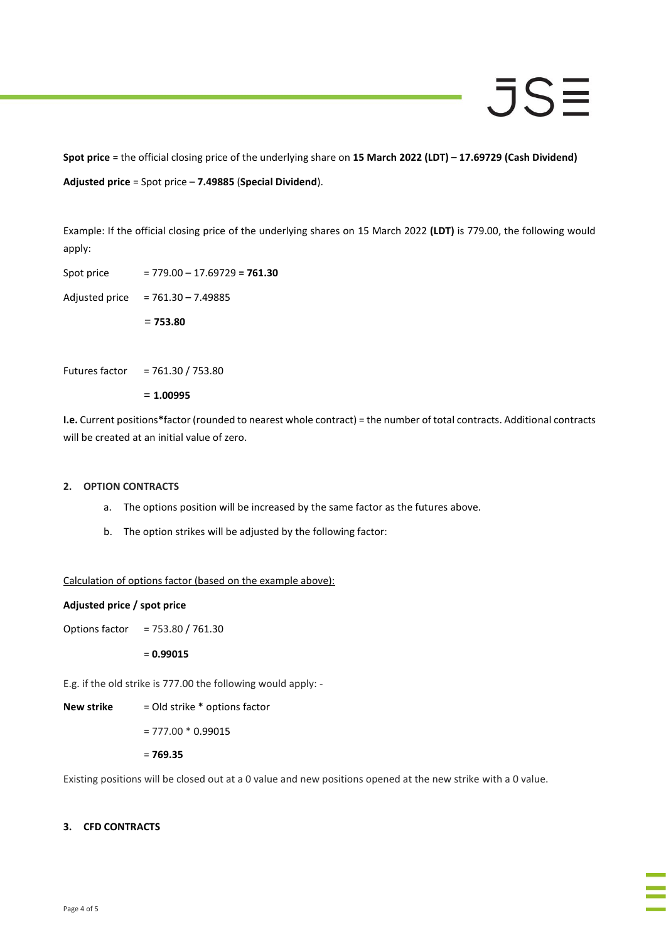# JSE

**Spot price** = the official closing price of the underlying share on **15 March 2022 (LDT) – 17.69729 (Cash Dividend) Adjusted price** = Spot price – **7.49885** (**Special Dividend**).

Example: If the official closing price of the underlying shares on 15 March 2022 **(LDT)** is 779.00, the following would apply:

Spot price = 779.00 – 17.69729 **= 761.30**

Adjusted price = 761.30 **–** 7.49885

= **753.80**

Futures factor = 761.30 / 753.80

= **1.00995**

**I.e.** Current positions**\***factor (rounded to nearest whole contract) = the number of total contracts. Additional contracts will be created at an initial value of zero.

## **2. OPTION CONTRACTS**

- a. The options position will be increased by the same factor as the futures above.
- b. The option strikes will be adjusted by the following factor:

## Calculation of options factor (based on the example above):

#### **Adjusted price / spot price**

Options factor = 753.80 / 761.30

= **0.99015**

E.g. if the old strike is 777.00 the following would apply: -

**New strike** = Old strike \* options factor

 $= 777.00 * 0.99015$ 

= **769.35**

Existing positions will be closed out at a 0 value and new positions opened at the new strike with a 0 value.

## **3. CFD CONTRACTS**